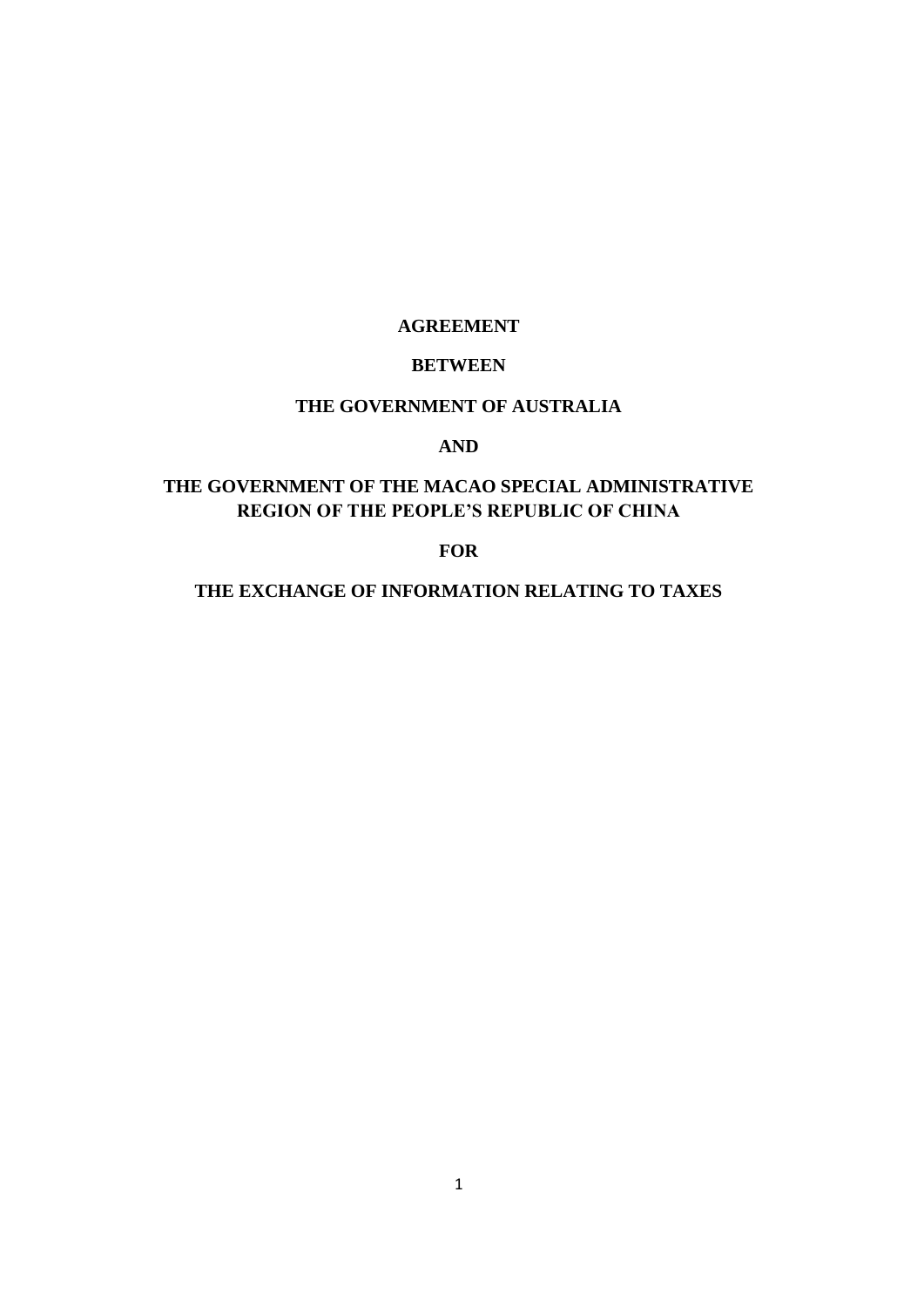# **AGREEMENT**

# **BETWEEN**

# **THE GOVERNMENT OF AUSTRALIA**

## **AND**

# **THE GOVERNMENT OF THE MACAO SPECIAL ADMINISTRATIVE REGION OF THE PEOPLE'S REPUBLIC OF CHINA**

**FOR** 

**THE EXCHANGE OF INFORMATION RELATING TO TAXES**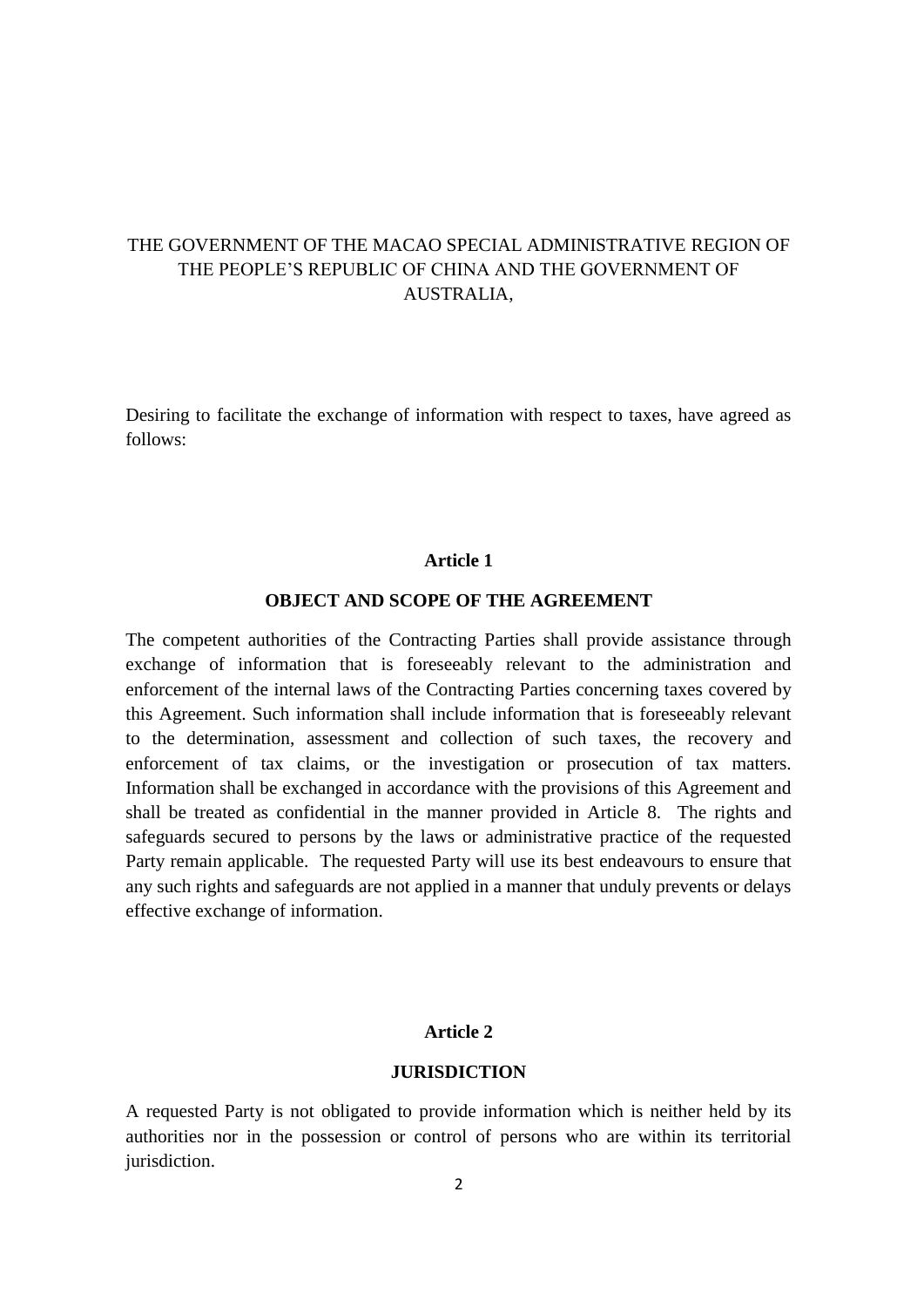# THE GOVERNMENT OF THE MACAO SPECIAL ADMINISTRATIVE REGION OF THE PEOPLE'S REPUBLIC OF CHINA AND THE GOVERNMENT OF AUSTRALIA,

Desiring to facilitate the exchange of information with respect to taxes, have agreed as follows:

#### **Article 1**

## **OBJECT AND SCOPE OF THE AGREEMENT**

The competent authorities of the Contracting Parties shall provide assistance through exchange of information that is foreseeably relevant to the administration and enforcement of the internal laws of the Contracting Parties concerning taxes covered by this Agreement. Such information shall include information that is foreseeably relevant to the determination, assessment and collection of such taxes, the recovery and enforcement of tax claims, or the investigation or prosecution of tax matters. Information shall be exchanged in accordance with the provisions of this Agreement and shall be treated as confidential in the manner provided in Article 8. The rights and safeguards secured to persons by the laws or administrative practice of the requested Party remain applicable. The requested Party will use its best endeavours to ensure that any such rights and safeguards are not applied in a manner that unduly prevents or delays effective exchange of information.

# **Article 2**

#### **JURISDICTION**

A requested Party is not obligated to provide information which is neither held by its authorities nor in the possession or control of persons who are within its territorial jurisdiction.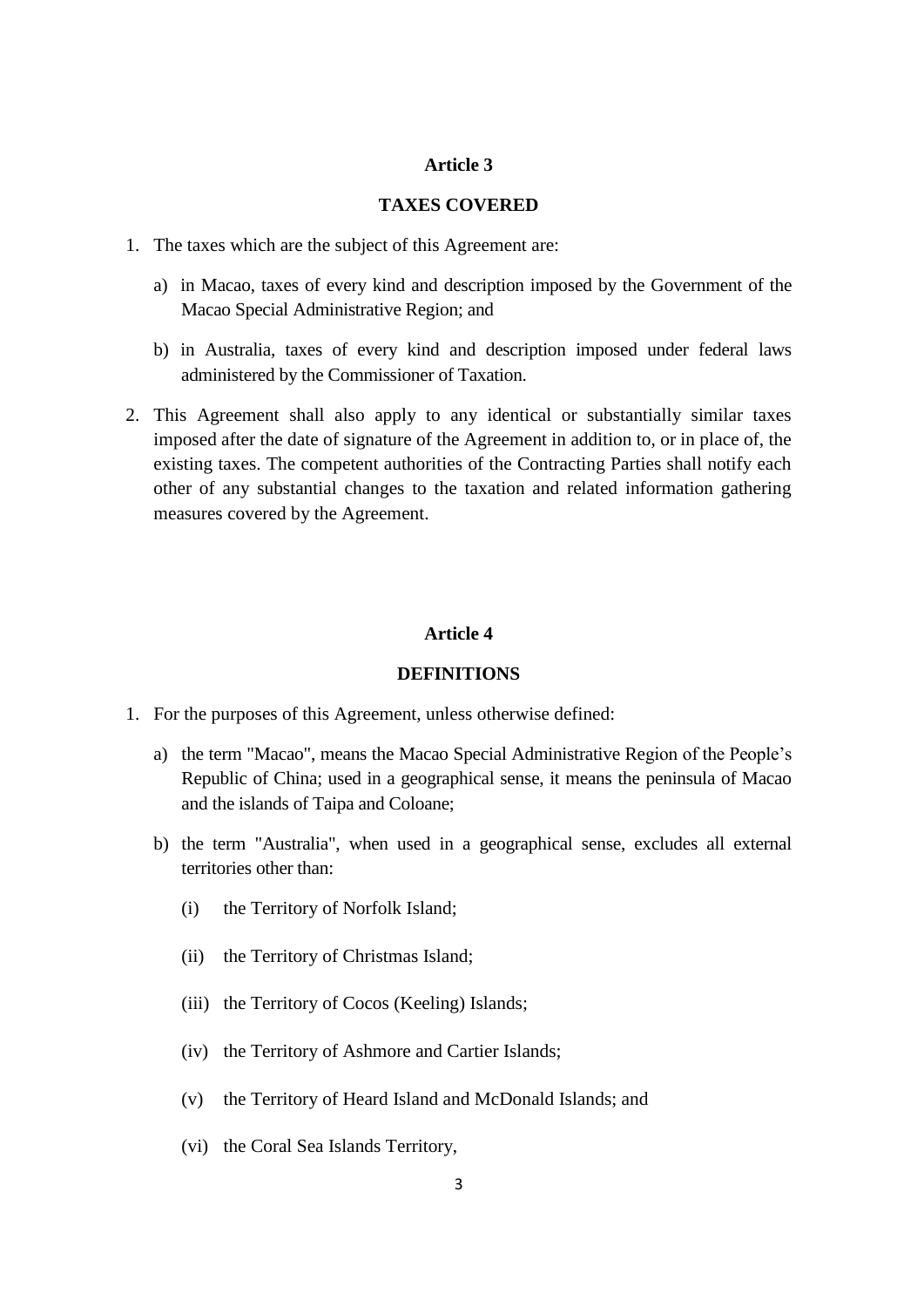## **TAXES COVERED**

- 1. The taxes which are the subject of this Agreement are:
	- a) in Macao, taxes of every kind and description imposed by the Government of the Macao Special Administrative Region; and
	- b) in Australia, taxes of every kind and description imposed under federal laws administered by the Commissioner of Taxation.
- 2. This Agreement shall also apply to any identical or substantially similar taxes imposed after the date of signature of the Agreement in addition to, or in place of, the existing taxes. The competent authorities of the Contracting Parties shall notify each other of any substantial changes to the taxation and related information gathering measures covered by the Agreement.

#### **Article 4**

## **DEFINITIONS**

- 1. For the purposes of this Agreement, unless otherwise defined:
	- a) the term "Macao", means the Macao Special Administrative Region of the People's Republic of China; used in a geographical sense, it means the peninsula of Macao and the islands of Taipa and Coloane;
	- b) the term "Australia", when used in a geographical sense, excludes all external territories other than:
		- (i) the Territory of Norfolk Island;
		- (ii) the Territory of Christmas Island;
		- (iii) the Territory of Cocos (Keeling) Islands;
		- (iv) the Territory of Ashmore and Cartier Islands;
		- (v) the Territory of Heard Island and McDonald Islands; and
		- (vi) the Coral Sea Islands Territory,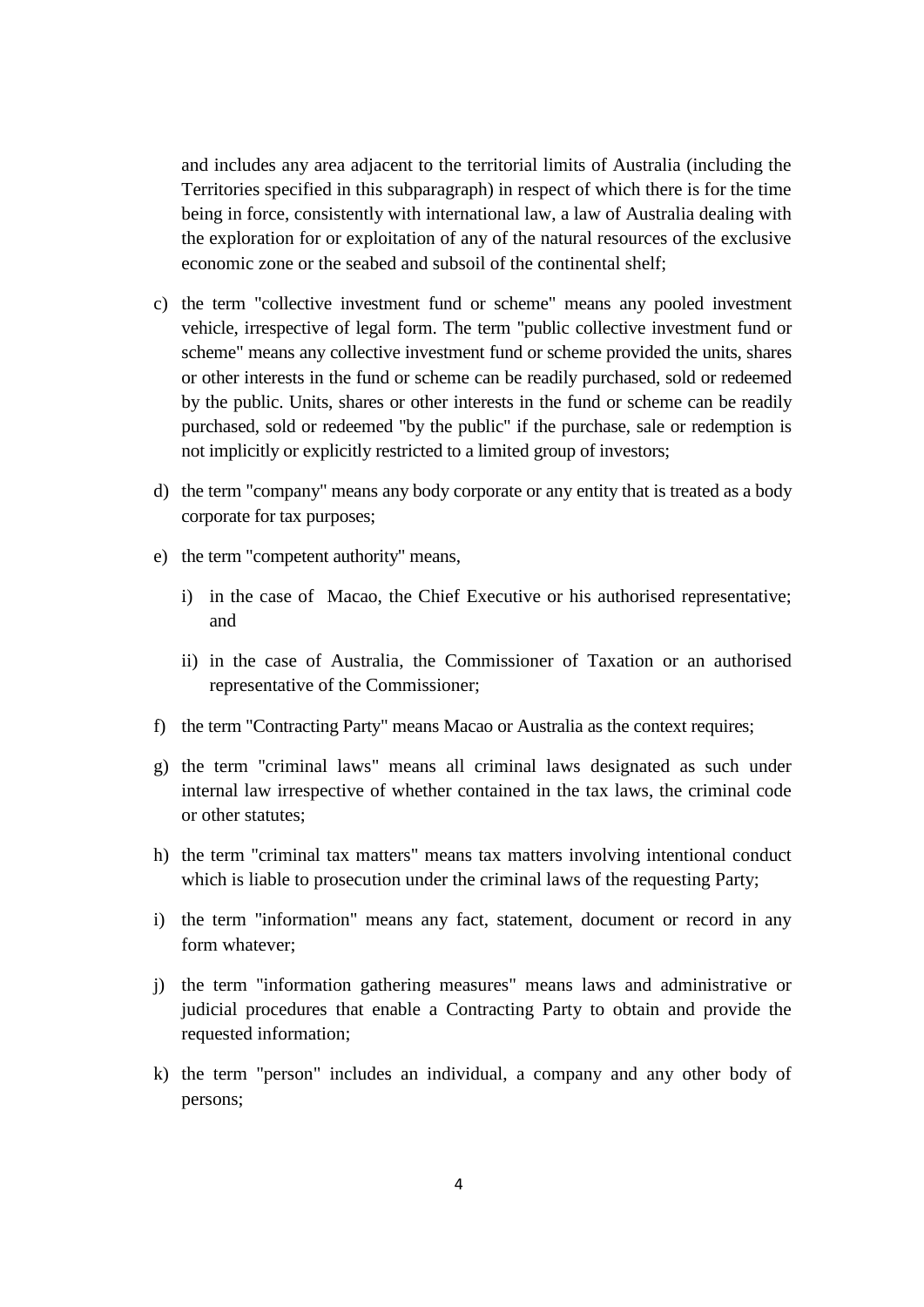and includes any area adjacent to the territorial limits of Australia (including the Territories specified in this subparagraph) in respect of which there is for the time being in force, consistently with international law, a law of Australia dealing with the exploration for or exploitation of any of the natural resources of the exclusive economic zone or the seabed and subsoil of the continental shelf;

- c) the term "collective investment fund or scheme" means any pooled investment vehicle, irrespective of legal form. The term "public collective investment fund or scheme" means any collective investment fund or scheme provided the units, shares or other interests in the fund or scheme can be readily purchased, sold or redeemed by the public. Units, shares or other interests in the fund or scheme can be readily purchased, sold or redeemed "by the public" if the purchase, sale or redemption is not implicitly or explicitly restricted to a limited group of investors;
- d) the term "company" means any body corporate or any entity that is treated as a body corporate for tax purposes;
- e) the term "competent authority" means,
	- i) in the case of Macao, the Chief Executive or his authorised representative; and
	- ii) in the case of Australia, the Commissioner of Taxation or an authorised representative of the Commissioner;
- f) the term "Contracting Party" means Macao or Australia as the context requires;
- g) the term "criminal laws" means all criminal laws designated as such under internal law irrespective of whether contained in the tax laws, the criminal code or other statutes;
- h) the term "criminal tax matters" means tax matters involving intentional conduct which is liable to prosecution under the criminal laws of the requesting Party;
- i) the term "information" means any fact, statement, document or record in any form whatever;
- j) the term "information gathering measures" means laws and administrative or judicial procedures that enable a Contracting Party to obtain and provide the requested information;
- k) the term "person" includes an individual, a company and any other body of persons;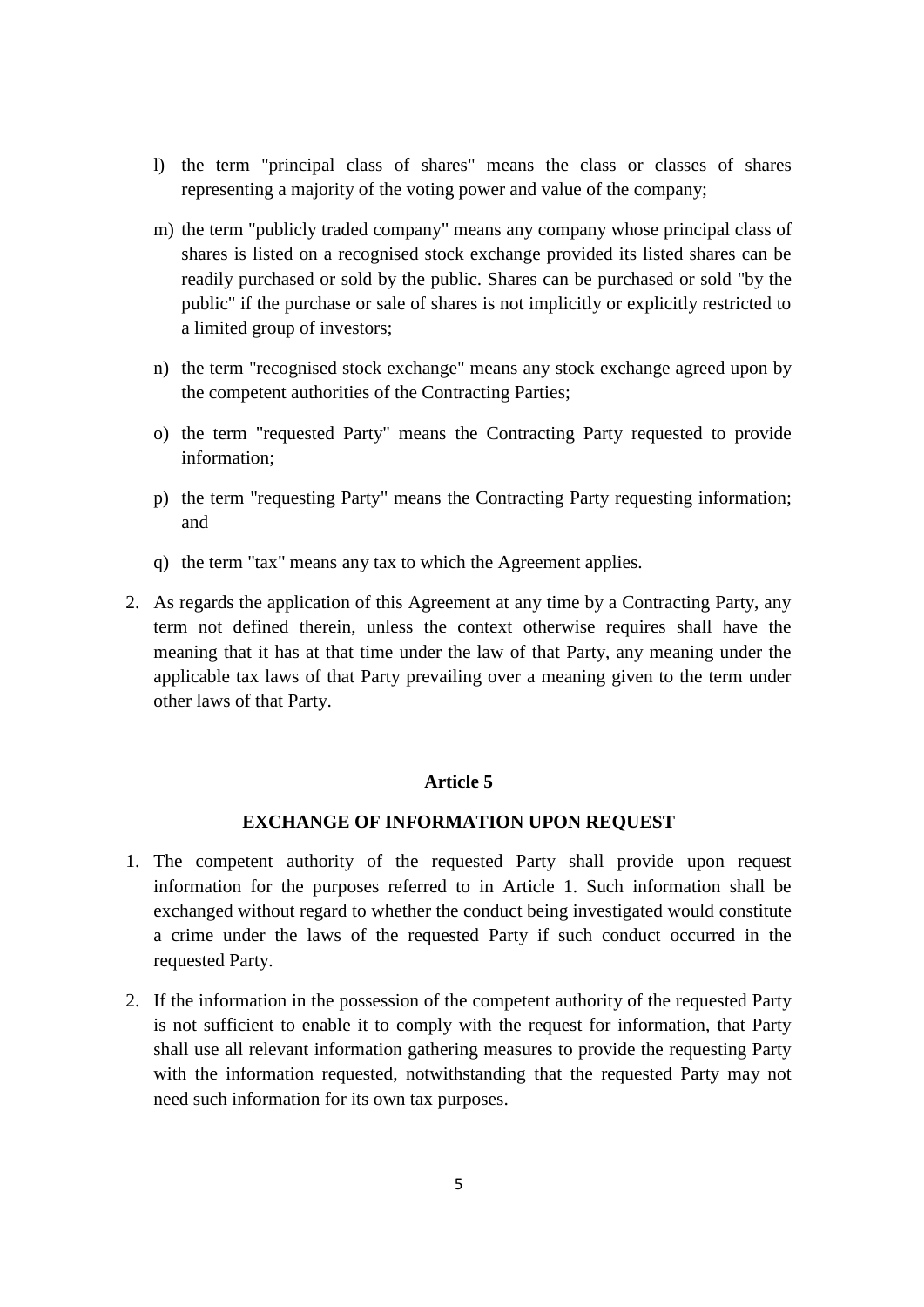- l) the term "principal class of shares" means the class or classes of shares representing a majority of the voting power and value of the company;
- m) the term "publicly traded company" means any company whose principal class of shares is listed on a recognised stock exchange provided its listed shares can be readily purchased or sold by the public. Shares can be purchased or sold "by the public" if the purchase or sale of shares is not implicitly or explicitly restricted to a limited group of investors;
- n) the term "recognised stock exchange" means any stock exchange agreed upon by the competent authorities of the Contracting Parties;
- o) the term "requested Party" means the Contracting Party requested to provide information;
- p) the term "requesting Party" means the Contracting Party requesting information; and
- q) the term "tax" means any tax to which the Agreement applies.
- 2. As regards the application of this Agreement at any time by a Contracting Party, any term not defined therein, unless the context otherwise requires shall have the meaning that it has at that time under the law of that Party, any meaning under the applicable tax laws of that Party prevailing over a meaning given to the term under other laws of that Party.

#### **EXCHANGE OF INFORMATION UPON REQUEST**

- 1. The competent authority of the requested Party shall provide upon request information for the purposes referred to in Article 1. Such information shall be exchanged without regard to whether the conduct being investigated would constitute a crime under the laws of the requested Party if such conduct occurred in the requested Party.
- 2. If the information in the possession of the competent authority of the requested Party is not sufficient to enable it to comply with the request for information, that Party shall use all relevant information gathering measures to provide the requesting Party with the information requested, notwithstanding that the requested Party may not need such information for its own tax purposes.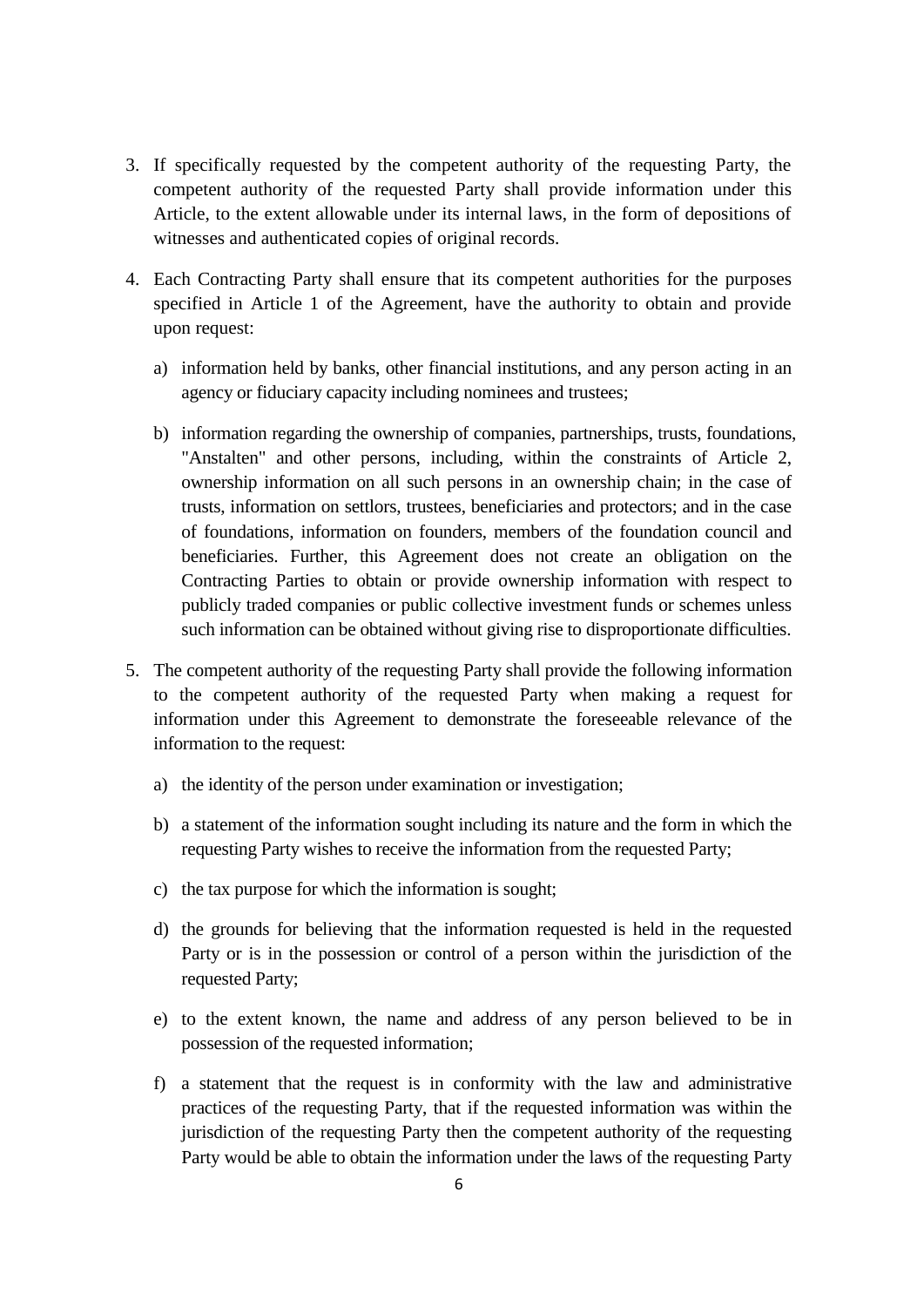- 3. If specifically requested by the competent authority of the requesting Party, the competent authority of the requested Party shall provide information under this Article, to the extent allowable under its internal laws, in the form of depositions of witnesses and authenticated copies of original records.
- 4. Each Contracting Party shall ensure that its competent authorities for the purposes specified in Article 1 of the Agreement, have the authority to obtain and provide upon request:
	- a) information held by banks, other financial institutions, and any person acting in an agency or fiduciary capacity including nominees and trustees;
	- b) information regarding the ownership of companies, partnerships, trusts, foundations, "Anstalten" and other persons, including, within the constraints of Article 2, ownership information on all such persons in an ownership chain; in the case of trusts, information on settlors, trustees, beneficiaries and protectors; and in the case of foundations, information on founders, members of the foundation council and beneficiaries. Further, this Agreement does not create an obligation on the Contracting Parties to obtain or provide ownership information with respect to publicly traded companies or public collective investment funds or schemes unless such information can be obtained without giving rise to disproportionate difficulties.
- 5. The competent authority of the requesting Party shall provide the following information to the competent authority of the requested Party when making a request for information under this Agreement to demonstrate the foreseeable relevance of the information to the request:
	- a) the identity of the person under examination or investigation;
	- b) a statement of the information sought including its nature and the form in which the requesting Party wishes to receive the information from the requested Party;
	- c) the tax purpose for which the information is sought;
	- d) the grounds for believing that the information requested is held in the requested Party or is in the possession or control of a person within the jurisdiction of the requested Party;
	- e) to the extent known, the name and address of any person believed to be in possession of the requested information;
	- f) a statement that the request is in conformity with the law and administrative practices of the requesting Party, that if the requested information was within the jurisdiction of the requesting Party then the competent authority of the requesting Party would be able to obtain the information under the laws of the requesting Party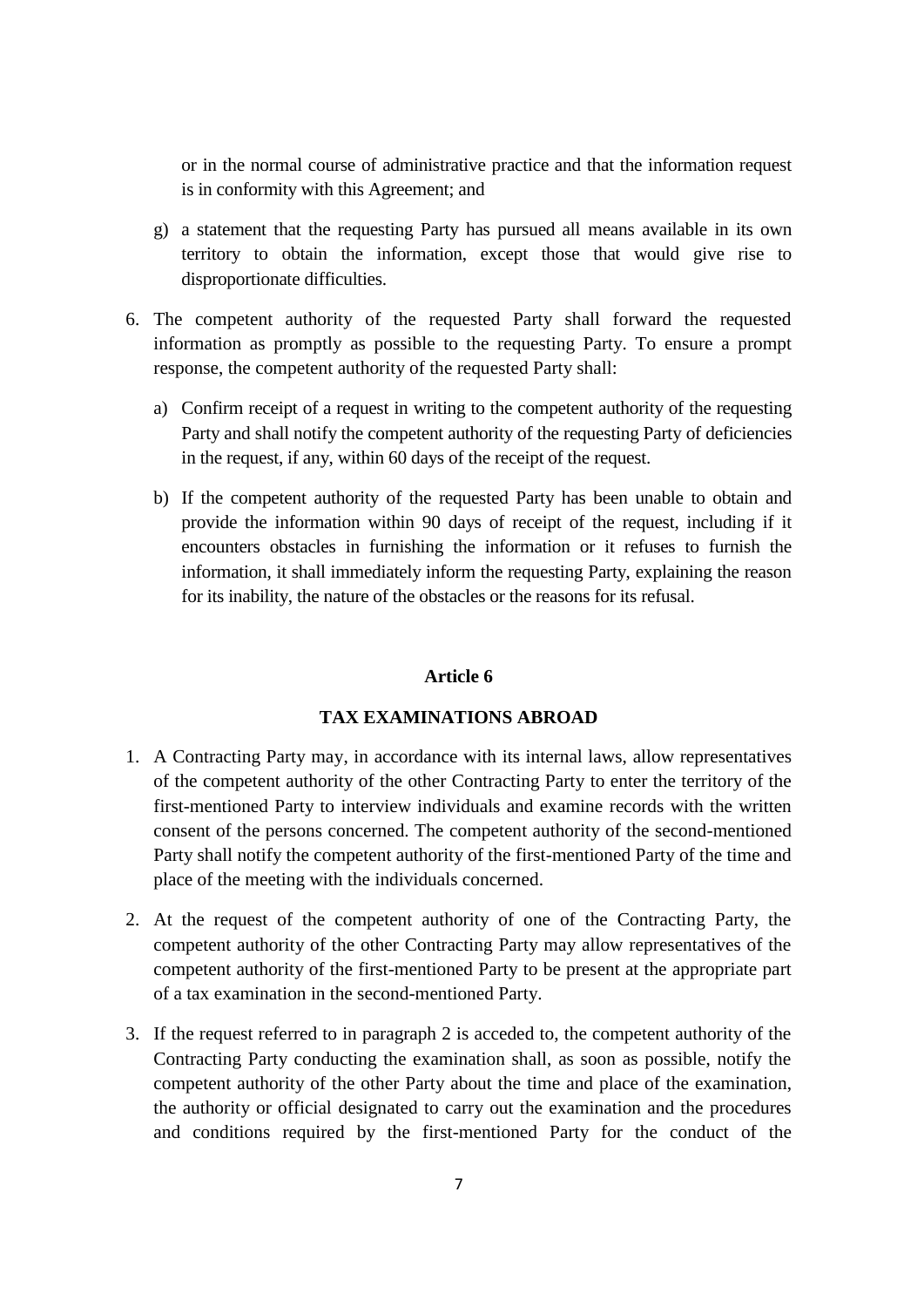or in the normal course of administrative practice and that the information request is in conformity with this Agreement; and

- g) a statement that the requesting Party has pursued all means available in its own territory to obtain the information, except those that would give rise to disproportionate difficulties.
- 6. The competent authority of the requested Party shall forward the requested information as promptly as possible to the requesting Party. To ensure a prompt response, the competent authority of the requested Party shall:
	- a) Confirm receipt of a request in writing to the competent authority of the requesting Party and shall notify the competent authority of the requesting Party of deficiencies in the request, if any, within 60 days of the receipt of the request.
	- b) If the competent authority of the requested Party has been unable to obtain and provide the information within 90 days of receipt of the request, including if it encounters obstacles in furnishing the information or it refuses to furnish the information, it shall immediately inform the requesting Party, explaining the reason for its inability, the nature of the obstacles or the reasons for its refusal.

#### **Article 6**

# **TAX EXAMINATIONS ABROAD**

- 1. A Contracting Party may, in accordance with its internal laws, allow representatives of the competent authority of the other Contracting Party to enter the territory of the first-mentioned Party to interview individuals and examine records with the written consent of the persons concerned. The competent authority of the second-mentioned Party shall notify the competent authority of the first-mentioned Party of the time and place of the meeting with the individuals concerned.
- 2. At the request of the competent authority of one of the Contracting Party, the competent authority of the other Contracting Party may allow representatives of the competent authority of the first-mentioned Party to be present at the appropriate part of a tax examination in the second-mentioned Party.
- 3. If the request referred to in paragraph 2 is acceded to, the competent authority of the Contracting Party conducting the examination shall, as soon as possible, notify the competent authority of the other Party about the time and place of the examination, the authority or official designated to carry out the examination and the procedures and conditions required by the first-mentioned Party for the conduct of the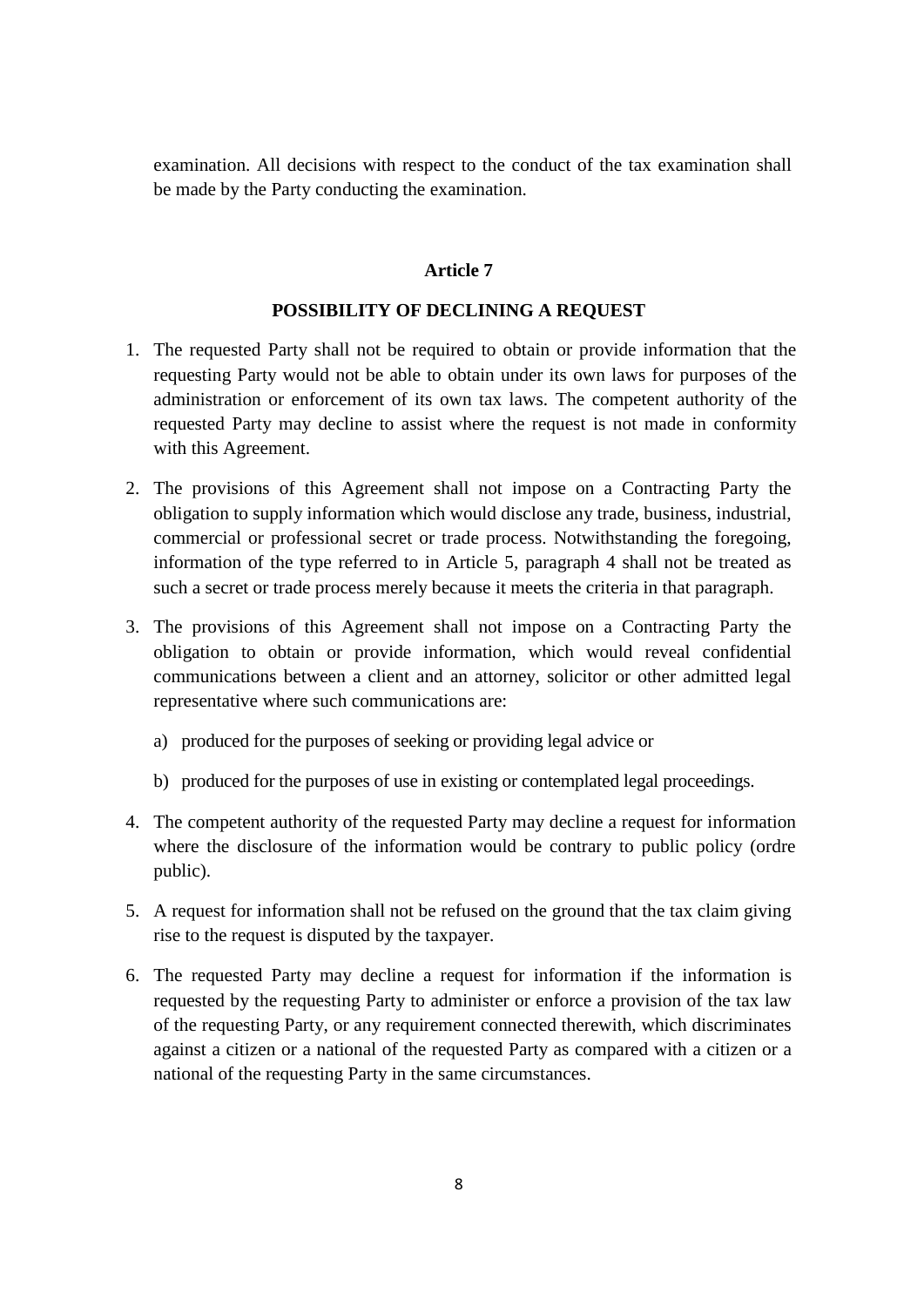examination. All decisions with respect to the conduct of the tax examination shall be made by the Party conducting the examination.

#### **Article 7**

#### **POSSIBILITY OF DECLINING A REQUEST**

- 1. The requested Party shall not be required to obtain or provide information that the requesting Party would not be able to obtain under its own laws for purposes of the administration or enforcement of its own tax laws. The competent authority of the requested Party may decline to assist where the request is not made in conformity with this Agreement.
- 2. The provisions of this Agreement shall not impose on a Contracting Party the obligation to supply information which would disclose any trade, business, industrial, commercial or professional secret or trade process. Notwithstanding the foregoing, information of the type referred to in Article 5, paragraph 4 shall not be treated as such a secret or trade process merely because it meets the criteria in that paragraph.
- 3. The provisions of this Agreement shall not impose on a Contracting Party the obligation to obtain or provide information, which would reveal confidential communications between a client and an attorney, solicitor or other admitted legal representative where such communications are:
	- a) produced for the purposes of seeking or providing legal advice or
	- b) produced for the purposes of use in existing or contemplated legal proceedings.
- 4. The competent authority of the requested Party may decline a request for information where the disclosure of the information would be contrary to public policy (ordre public).
- 5. A request for information shall not be refused on the ground that the tax claim giving rise to the request is disputed by the taxpayer.
- 6. The requested Party may decline a request for information if the information is requested by the requesting Party to administer or enforce a provision of the tax law of the requesting Party, or any requirement connected therewith, which discriminates against a citizen or a national of the requested Party as compared with a citizen or a national of the requesting Party in the same circumstances.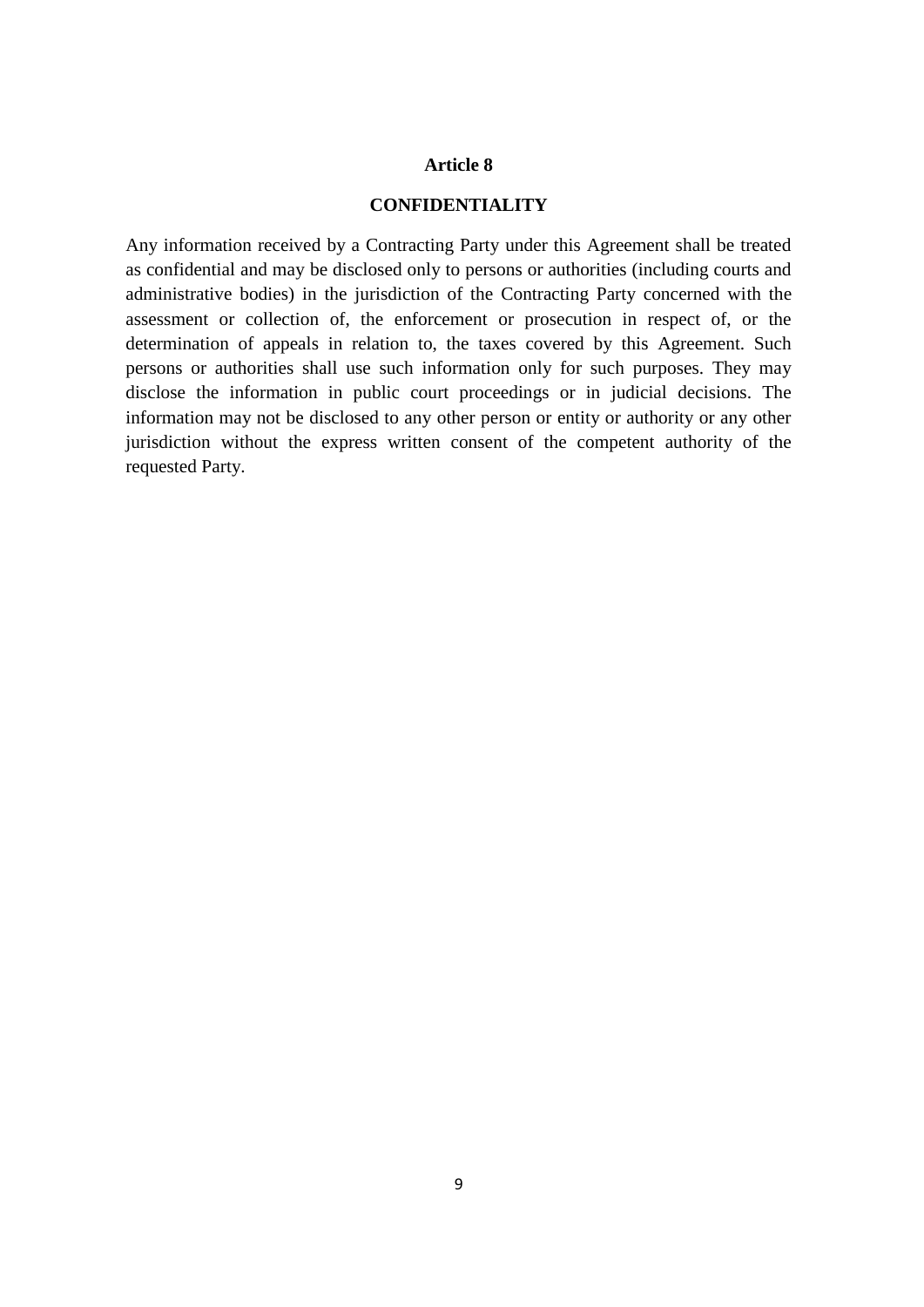## **CONFIDENTIALITY**

Any information received by a Contracting Party under this Agreement shall be treated as confidential and may be disclosed only to persons or authorities (including courts and administrative bodies) in the jurisdiction of the Contracting Party concerned with the assessment or collection of, the enforcement or prosecution in respect of, or the determination of appeals in relation to, the taxes covered by this Agreement. Such persons or authorities shall use such information only for such purposes. They may disclose the information in public court proceedings or in judicial decisions. The information may not be disclosed to any other person or entity or authority or any other jurisdiction without the express written consent of the competent authority of the requested Party.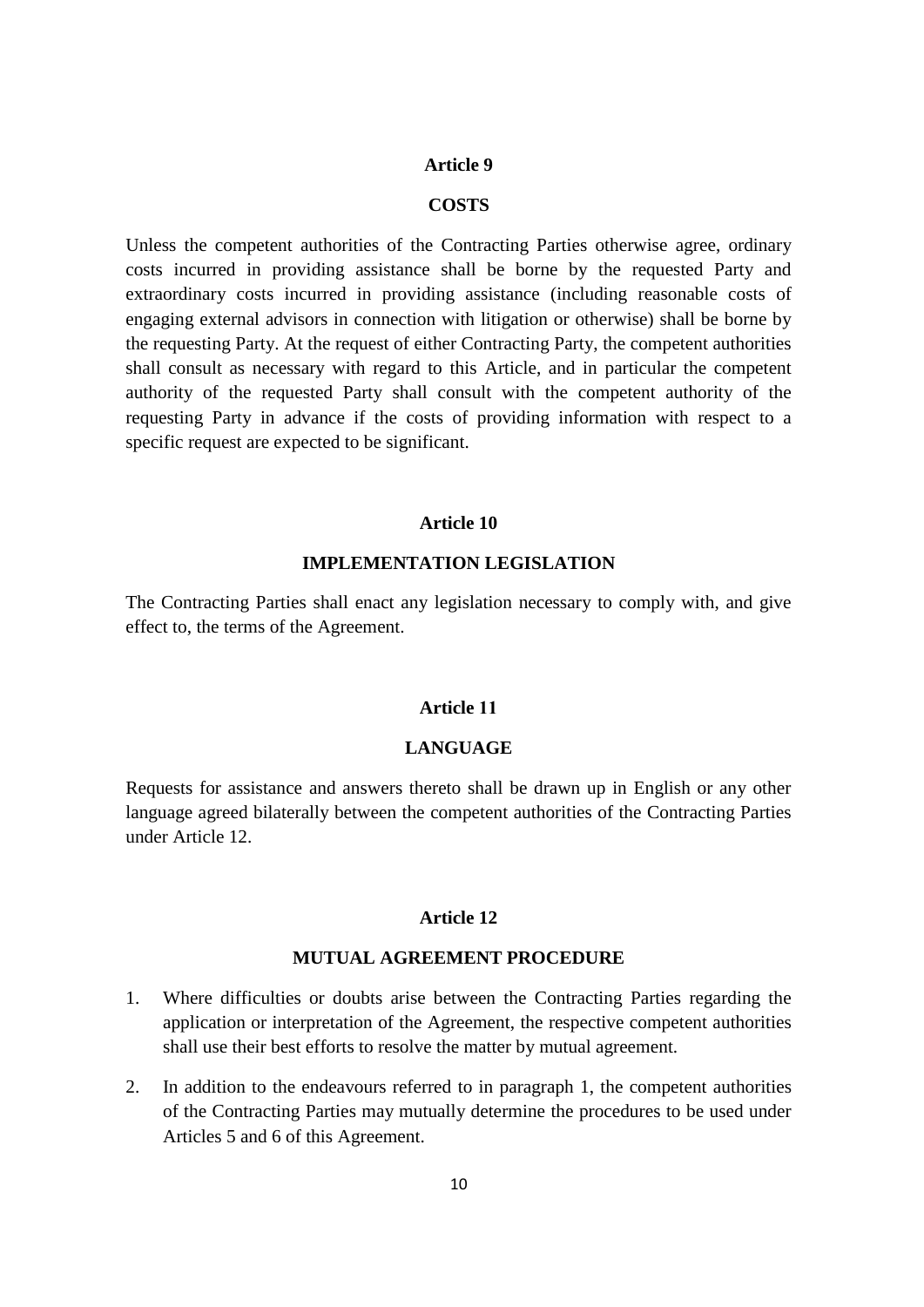#### **COSTS**

Unless the competent authorities of the Contracting Parties otherwise agree, ordinary costs incurred in providing assistance shall be borne by the requested Party and extraordinary costs incurred in providing assistance (including reasonable costs of engaging external advisors in connection with litigation or otherwise) shall be borne by the requesting Party. At the request of either Contracting Party, the competent authorities shall consult as necessary with regard to this Article, and in particular the competent authority of the requested Party shall consult with the competent authority of the requesting Party in advance if the costs of providing information with respect to a specific request are expected to be significant.

#### **Article 10**

#### **IMPLEMENTATION LEGISLATION**

The Contracting Parties shall enact any legislation necessary to comply with, and give effect to, the terms of the Agreement.

## **Article 11**

# **LANGUAGE**

Requests for assistance and answers thereto shall be drawn up in English or any other language agreed bilaterally between the competent authorities of the Contracting Parties under Article 12.

### **Article 12**

#### **MUTUAL AGREEMENT PROCEDURE**

- 1. Where difficulties or doubts arise between the Contracting Parties regarding the application or interpretation of the Agreement, the respective competent authorities shall use their best efforts to resolve the matter by mutual agreement.
- 2. In addition to the endeavours referred to in paragraph 1, the competent authorities of the Contracting Parties may mutually determine the procedures to be used under Articles 5 and 6 of this Agreement.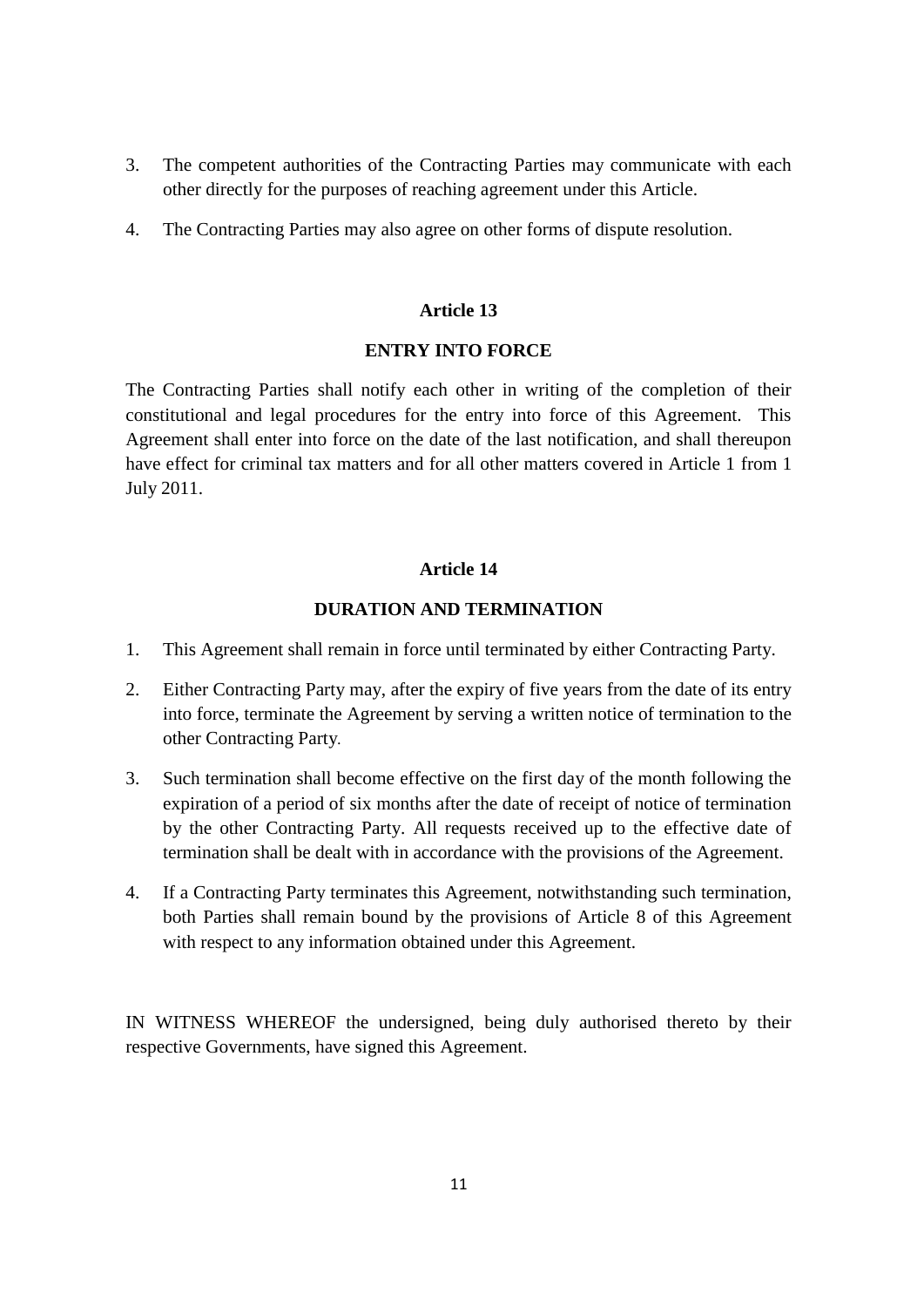- 3. The competent authorities of the Contracting Parties may communicate with each other directly for the purposes of reaching agreement under this Article.
- 4. The Contracting Parties may also agree on other forms of dispute resolution.

## **ENTRY INTO FORCE**

The Contracting Parties shall notify each other in writing of the completion of their constitutional and legal procedures for the entry into force of this Agreement. This Agreement shall enter into force on the date of the last notification, and shall thereupon have effect for criminal tax matters and for all other matters covered in Article 1 from 1 July 2011.

# **Article 14**

# **DURATION AND TERMINATION**

- 1. This Agreement shall remain in force until terminated by either Contracting Party.
- 2. Either Contracting Party may, after the expiry of five years from the date of its entry into force, terminate the Agreement by serving a written notice of termination to the other Contracting Party*.*
- 3. Such termination shall become effective on the first day of the month following the expiration of a period of six months after the date of receipt of notice of termination by the other Contracting Party. All requests received up to the effective date of termination shall be dealt with in accordance with the provisions of the Agreement.
- 4. If a Contracting Party terminates this Agreement, notwithstanding such termination, both Parties shall remain bound by the provisions of Article 8 of this Agreement with respect to any information obtained under this Agreement.

IN WITNESS WHEREOF the undersigned, being duly authorised thereto by their respective Governments, have signed this Agreement.